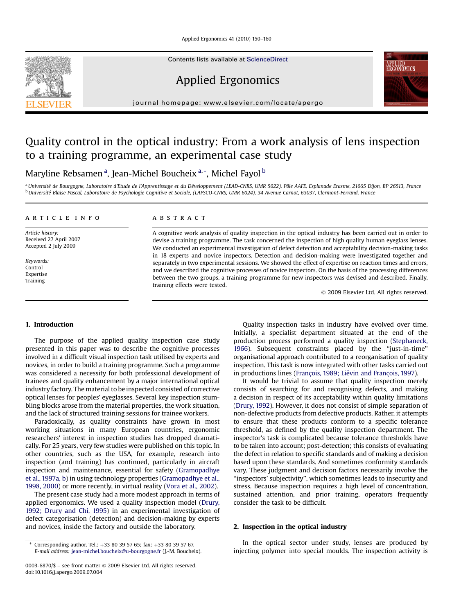Applied Ergonomics 41 (2010) 150–160

Contents lists available at [ScienceDirect](www.sciencedirect.com/science/journal/00036870)

Applied Ergonomics

journal homepage: [www.elsevier.com/locate/apergo](http://www.elsevier.com/locate/apergo)

# Quality control in the optical industry: From a work analysis of lens inspection to a training programme, an experimental case study

Maryline Rebsamen<sup>a</sup>, Jean-Michel Boucheix<sup>a,</sup>\*, Michel Fayol <sup>b</sup>

<sup>a</sup> Université de Bourgogne, Laboratoire d'Etude de l'Apprentissage et du Développement (LEAD-CNRS, UMR 5022), Pôle AAFE, Esplanade Erasme, 21065 Dijon, BP 26513, France <sup>b</sup> Université Blaise Pascal, Laboratoire de Psychologie Cognitive et Sociale, (LAPSCO-CNRS, UMR 6024), 34 Avenue Carnot, 63037, Clermont-Ferrand, France

### article info

Article history: Received 27 April 2007 Accepted 2 July 2009

Keywords: Control Expertise Training

# **ABSTRACT**

A cognitive work analysis of quality inspection in the optical industry has been carried out in order to devise a training programme. The task concerned the inspection of high quality human eyeglass lenses. We conducted an experimental investigation of defect detection and acceptability decision-making tasks in 18 experts and novice inspectors. Detection and decision-making were investigated together and separately in two experimental sessions. We showed the effect of expertise on reaction times and errors, and we described the cognitive processes of novice inspectors. On the basis of the processing differences between the two groups, a training programme for new inspectors was devised and described. Finally, training effects were tested.

- 2009 Elsevier Ltd. All rights reserved.

# 1. Introduction

The purpose of the applied quality inspection case study presented in this paper was to describe the cognitive processes involved in a difficult visual inspection task utilised by experts and novices, in order to build a training programme. Such a programme was considered a necessity for both professional development of trainees and quality enhancement by a major international optical industry factory. The material to be inspected consisted of corrective optical lenses for peoples' eyeglasses. Several key inspection stumbling blocks arose from the material properties, the work situation, and the lack of structured training sessions for trainee workers.

Paradoxically, as quality constraints have grown in most working situations in many European countries, ergonomic researchers' interest in inspection studies has dropped dramatically. For 25 years, very few studies were published on this topic. In other countries, such as the USA, for example, research into inspection (and training) has continued, particularly in aircraft inspection and maintenance, essential for safety ([Gramopadhye](#page-10-0) [et al., 1997a, b\)](#page-10-0) in using technology properties [\(Gramopadhye et al.,](#page-10-0) [1998, 2000](#page-10-0)) or more recently, in virtual reality ([Vora et al., 2002\)](#page-10-0).

The present case study had a more modest approach in terms of applied ergonomics. We used a quality inspection model [\(Drury,](#page-10-0) [1992; Drury and Chi, 1995\)](#page-10-0) in an experimental investigation of defect categorisation (detection) and decision-making by experts and novices, inside the factory and outside the laboratory.

Quality inspection tasks in industry have evolved over time. Initially, a specialist department situated at the end of the production process performed a quality inspection ([Stephaneck,](#page-10-0) [1966](#page-10-0)). Subsequent constraints placed by the ''just-in-time'' organisational approach contributed to a reorganisation of quality inspection. This task is now integrated with other tasks carried out in productions lines (François, 1989; Liévin and François, 1997).

It would be trivial to assume that quality inspection merely consists of searching for and recognising defects, and making a decision in respect of its acceptability within quality limitations ([Drury, 1992\)](#page-10-0). However, it does not consist of simple separation of non-defective products from defective products. Rather, it attempts to ensure that these products conform to a specific tolerance threshold, as defined by the quality inspection department. The inspector's task is complicated because tolerance thresholds have to be taken into account; post-detection; this consists of evaluating the defect in relation to specific standards and of making a decision based upon these standards. And sometimes conformity standards vary. These judgment and decision factors necessarily involve the ''inspectors' subjectivity'', which sometimes leads to insecurity and stress. Because inspection requires a high level of concentration, sustained attention, and prior training, operators frequently consider the task to be difficult.

# 2. Inspection in the optical industry

In the optical sector under study, lenses are produced by injecting polymer into special moulds. The inspection activity is





Corresponding author. Tel.:  $+33$  80 39 57 65; fax:  $+33$  80 39 57 67. E-mail address: [jean-michel.boucheix@u-bourgogne.fr](mailto:jean-michel.boucheix@u-bourgogne.fr) (J.-M. Boucheix).

<sup>0003-6870/\$ –</sup> see front matter © 2009 Elsevier Ltd. All rights reserved. doi:10.1016/j.apergo.2009.07.004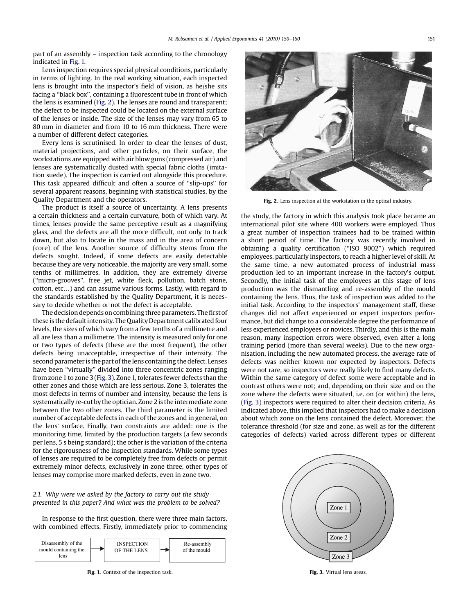<span id="page-1-0"></span>part of an assembly – inspection task according to the chronology indicated in Fig. 1.

Lens inspection requires special physical conditions, particularly in terms of lighting. In the real working situation, each inspected lens is brought into the inspector's field of vision, as he/she sits facing a ''black box'', containing a fluorescent tube in front of which the lens is examined (Fig. 2). The lenses are round and transparent; the defect to be inspected could be located on the external surface of the lenses or inside. The size of the lenses may vary from 65 to 80 mm in diameter and from 10 to 16 mm thickness. There were a number of different defect categories.

Every lens is scrutinised. In order to clear the lenses of dust, material projections, and other particles, on their surface, the workstations are equipped with air blow guns (compressed air) and lenses are systematically dusted with special fabric cloths (imitation suede). The inspection is carried out alongside this procedure. This task appeared difficult and often a source of ''slip-ups'' for several apparent reasons, beginning with statistical studies, by the Quality Department and the operators.

The product is itself a source of uncertainty. A lens presents a certain thickness and a certain curvature, both of which vary. At times, lenses provide the same perceptive result as a magnifying glass, and the defects are all the more difficult, not only to track down, but also to locate in the mass and in the area of concern (core) of the lens. Another source of difficulty stems from the defects sought. Indeed, if some defects are easily detectable because they are very noticeable, the majority are very small, some tenths of millimetres. In addition, they are extremely diverse (''micro-grooves'', free jet, white fleck, pollution, batch stone, cotton, etc.) and can assume various forms. Lastly, with regard to the standards established by the Quality Department, it is necessary to decide whether or not the defect is acceptable.

The decision depends on combining three parameters. The first of these is the default intensity. The Quality Department calibrated four levels, the sizes of which vary from a few tenths of a millimetre and all are less than a millimetre. The intensity is measured only for one or two types of defects (these are the most frequent), the other defects being unacceptable, irrespective of their intensity. The second parameter is the part of the lens containing the defect. Lenses have been ''virtually'' divided into three concentric zones ranging from zone 1 to zone 3 (Fig. 3). Zone 1, tolerates fewer defects than the other zones and those which are less serious. Zone 3, tolerates the most defects in terms of number and intensity, because the lens is systematically re-cut by the optician. Zone 2 is the intermediate zone between the two other zones. The third parameter is the limited number of acceptable defects in each of the zones and in general, on the lens' surface. Finally, two constraints are added: one is the monitoring time, limited by the production targets (a few seconds per lens, 5 s being standard); the other is the variation of the criteria for the rigorousness of the inspection standards. While some types of lenses are required to be completely free from defects or permit extremely minor defects, exclusively in zone three, other types of lenses may comprise more marked defects, even in zone two.

2.1. Why were we asked by the factory to carry out the study presented in this paper? And what was the problem to be solved?

In response to the first question, there were three main factors, with combined effects. Firstly, immediately prior to commencing



Fig. 1. Context of the inspection task.



Fig. 2. Lens inspection at the workstation in the optical industry.

the study, the factory in which this analysis took place became an international pilot site where 400 workers were employed. Thus a great number of inspection trainees had to be trained within a short period of time. The factory was recently involved in obtaining a quality certification (''ISO 9002'') which required employees, particularly inspectors, to reach a higher level of skill. At the same time, a new automated process of industrial mass production led to an important increase in the factory's output. Secondly, the initial task of the employees at this stage of lens production was the dismantling and re-assembly of the mould containing the lens. Thus, the task of inspection was added to the initial task. According to the inspectors' management staff, these changes did not affect experienced or expert inspectors performance, but did change to a considerable degree the performance of less experienced employees or novices. Thirdly, and this is the main reason, many inspection errors were observed, even after a long training period (more than several weeks). Due to the new organisation, including the new automated process, the average rate of defects was neither known nor expected by inspectors. Defects were not rare, so inspectors were really likely to find many defects. Within the same category of defect some were acceptable and in contrast others were not; and, depending on their size and on the zone where the defects were situated, i.e. on (or within) the lens, (Fig. 3) inspectors were required to alter their decision criteria. As indicated above, this implied that inspectors had to make a decision about which zone on the lens contained the defect. Moreover, the tolerance threshold (for size and zone, as well as for the different categories of defects) varied across different types or different



Fig. 3. Virtual lens areas.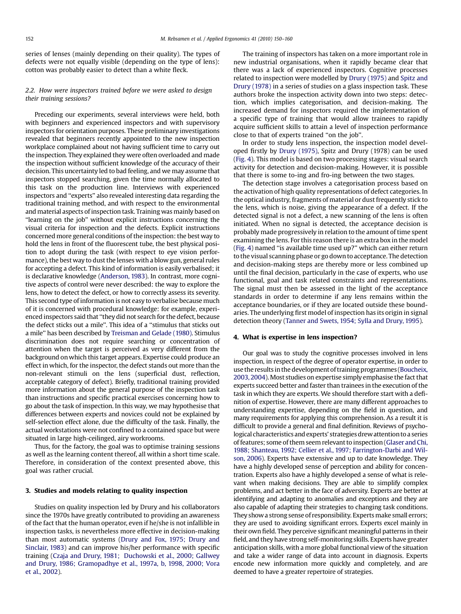series of lenses (mainly depending on their quality). The types of defects were not equally visible (depending on the type of lens): cotton was probably easier to detect than a white fleck.

# 2.2. How were inspectors trained before we were asked to design their training sessions?

Preceding our experiments, several interviews were held, both with beginners and experienced inspectors and with supervisory inspectors for orientation purposes. These preliminary investigations revealed that beginners recently appointed to the new inspection workplace complained about not having sufficient time to carry out the inspection. They explained they were often overloaded and made the inspection without sufficient knowledge of the accuracy of their decision. This uncertainty led to bad feeling, and we may assume that inspectors stopped searching, given the time normally allocated to this task on the production line. Interviews with experienced inspectors and ''experts'' also revealed interesting data regarding the traditional training method, and with respect to the environmental and material aspects of inspection task. Training was mainly based on ''learning on the job'' without explicit instructions concerning the visual criteria for inspection and the defects. Explicit instructions concerned more general conditions of the inspection: the best way to hold the lens in front of the fluorescent tube, the best physical position to adopt during the task (with respect to eye vision performance), the best way to dust the lenses with a blow gun, general rules for accepting a defect. This kind of information is easily verbalised; it is declarative knowledge [\(Anderson, 1983](#page-10-0)). In contrast, more cognitive aspects of control were never described: the way to explore the lens, how to detect the defect, or how to correctly assess its severity. This second type of information is not easy to verbalise because much of it is concerned with procedural knowledge: for example, experienced inspectors said that ''they did not search for the defect, because the defect sticks out a mile''. This idea of a ''stimulus that sticks out a mile'' has been described by [Treisman and Gelade \(1980\).](#page-10-0) Stimulus discrimination does not require searching or concentration of attention when the target is perceived as very different from the background onwhich this target appears. Expertise could produce an effect in which, for the inspector, the defect stands out more than the non-relevant stimuli on the lens (superficial dust, reflection, acceptable category of defect). Briefly, traditional training provided more information about the general purpose of the inspection task than instructions and specific practical exercises concerning how to go about the task of inspection. In this way, we may hypothesise that differences between experts and novices could not be explained by self-selection effect alone, due the difficulty of the task. Finally, the actual workstations were not confined to a contained space but were situated in large high-ceilinged, airy workrooms.

Thus, for the factory, the goal was to optimise training sessions as well as the learning content thereof, all within a short time scale. Therefore, in consideration of the context presented above, this goal was rather crucial.

#### 3. Studies and models relating to quality inspection

Studies on quality inspection led by Drury and his collaborators since the 1970s have greatly contributed to providing an awareness of the fact that the human operator, even if he/she is not infallible in inspection tasks, is nevertheless more effective in decision-making than most automatic systems [\(Drury and Fox, 1975; Drury and](#page-10-0) [Sinclair, 1983\)](#page-10-0) and can improve his/her performance with specific training [\(Czaja and Drury, 1981; Duchowski et al., 2000; Gallwey](#page-10-0) [and Drury, 1986; Gramopadhye et al., 1997a, b, 1998, 2000; Vora](#page-10-0) [et al., 2002\)](#page-10-0).

The training of inspectors has taken on a more important role in new industrial organisations, when it rapidly became clear that there was a lack of experienced inspectors. Cognitive processes related to inspection were modelled by [Drury \(1975\)](#page-10-0) and [Spitz and](#page-10-0) [Drury \(1978\)](#page-10-0) in a series of studies on a glass inspection task. These authors broke the inspection activity down into two steps: detection, which implies categorisation, and decision-making. The increased demand for inspectors required the implementation of a specific type of training that would allow trainees to rapidly acquire sufficient skills to attain a level of inspection performance close to that of experts trained ''on the job''.

In order to study lens inspection, the inspection model developed firstly by [Drury \(1975\)](#page-10-0), Spitz and Drury (1978) can be used ([Fig. 4](#page-3-0)). This model is based on two processing stages: visual search activity for detection and decision-making. However, it is possible that there is some to-ing and fro-ing between the two stages.

The detection stage involves a categorisation process based on the activation of high quality representations of defect categories. In the optical industry, fragments of material or dust frequently stick to the lens, which is noise, giving the appearance of a defect. If the detected signal is not a defect, a new scanning of the lens is often initiated. When no signal is detected, the acceptance decision is probably made progressively in relation to the amount of time spent examining the lens. For this reason there is an extra box in the model ([Fig. 4\)](#page-3-0) named ''is available time used up?'' which can either return to the visual scanning phase or go down to acceptance. The detection and decision-making steps are thereby more or less combined up until the final decision, particularly in the case of experts, who use functional, goal and task related constraints and representations. The signal must then be assessed in the light of the acceptance standards in order to determine if any lens remains within the acceptance boundaries, or if they are located outside these boundaries. The underlying first model of inspection has its origin in signal detection theory [\(Tanner and Swets, 1954; Sylla and Drury, 1995\)](#page-10-0).

#### 4. What is expertise in lens inspection?

Our goal was to study the cognitive processes involved in lens inspection, in respect of the degree of operator expertise, in order to use the results in the development of training programmes [\(Boucheix,](#page-10-0) [2003, 2004\)](#page-10-0).Most studies on expertise simply emphasise the fact that experts succeed better and faster than trainees in the execution of the task in which they are experts. We should therefore start with a definition of expertise. However, there are many different approaches to understanding expertise, depending on the field in question, and many requirements for applying this comprehension. As a result it is difficult to provide a general and final definition. Reviews of psychological characteristics and experts' strategies drew attention to a series of features; some of them seem relevant to inspection [\(Glaser and Chi,](#page-10-0) [1988; Shanteau, 1992; Cellier et al., 1997; Farrington-Darbi and Wil](#page-10-0)[son, 2006](#page-10-0)). Experts have extensive and up to date knowledge. They have a highly developed sense of perception and ability for concentration. Experts also have a highly developed a sense of what is relevant when making decisions. They are able to simplify complex problems, and act better in the face of adversity. Experts are better at identifying and adapting to anomalies and exceptions and they are also capable of adapting their strategies to changing task conditions. They show a strong sense of responsibility. Experts make small errors; they are used to avoiding significant errors. Experts excel mainly in their own field. They perceive significant meaningful patterns in their field, and they have strong self-monitoring skills. Experts have greater anticipation skills, with a more global functional view of the situation and take a wider range of data into account in diagnosis. Experts encode new information more quickly and completely, and are deemed to have a greater repertoire of strategies.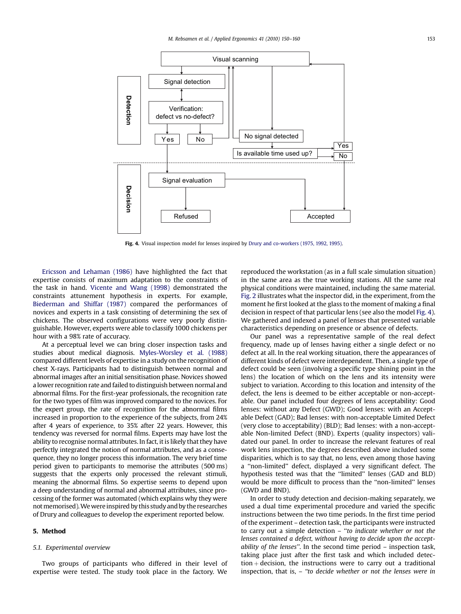<span id="page-3-0"></span>

Fig. 4. Visual inspection model for lenses inspired by [Drury and co-workers \(1975, 1992, 1995\).](#page-10-0)

[Ericsson and Lehaman \(1986\)](#page-10-0) have highlighted the fact that expertise consists of maximum adaptation to the constraints of the task in hand. [Vicente and Wang \(1998\)](#page-10-0) demonstrated the constraints attunement hypothesis in experts. For example, [Biederman and Shiffar \(1987\)](#page-10-0) compared the performances of novices and experts in a task consisting of determining the sex of chickens. The observed configurations were very poorly distinguishable. However, experts were able to classify 1000 chickens per hour with a 98% rate of accuracy.

At a perceptual level we can bring closer inspection tasks and studies about medical diagnosis. [Myles-Worsley et al. \(1988\)](#page-10-0) compared different levels of expertise in a study on the recognition of chest X-rays. Participants had to distinguish between normal and abnormal images after an initial sensitisation phase. Novices showed a lower recognition rate and failed to distinguish between normal and abnormal films. For the first-year professionals, the recognition rate for the two types of film was improved compared to the novices. For the expert group, the rate of recognition for the abnormal films increased in proportion to the experience of the subjects, from 24% after 4 years of experience, to 35% after 22 years. However, this tendency was reversed for normal films. Experts may have lost the ability to recognise normal attributes. In fact, it is likely that they have perfectly integrated the notion of normal attributes, and as a consequence, they no longer process this information. The very brief time period given to participants to memorise the attributes (500 ms) suggests that the experts only processed the relevant stimuli, meaning the abnormal films. So expertise seems to depend upon a deep understanding of normal and abnormal attributes, since processing of the former was automated (which explains why they were not memorised). We were inspired by this study and by the researches of Drury and colleagues to develop the experiment reported below.

# 5. Method

### 5.1. Experimental overview

Two groups of participants who differed in their level of expertise were tested. The study took place in the factory. We

reproduced the workstation (as in a full scale simulation situation) in the same area as the true working stations. All the same real physical conditions were maintained, including the same material. [Fig. 2](#page-1-0) illustrates what the inspector did, in the experiment, from the moment he first looked at the glass to the moment of making a final decision in respect of that particular lens (see also the model Fig. 4). We gathered and indexed a panel of lenses that presented variable characteristics depending on presence or absence of defects.

Our panel was a representative sample of the real defect frequency, made up of lenses having either a single defect or no defect at all. In the real working situation, there the appearances of different kinds of defect were interdependent. Then, a single type of defect could be seen (involving a specific type shining point in the lens) the location of which on the lens and its intensity were subject to variation. According to this location and intensity of the defect, the lens is deemed to be either acceptable or non-acceptable. Our panel included four degrees of lens acceptability: Good lenses: without any Defect (GWD); Good lenses: with an Acceptable Defect (GAD); Bad lenses: with non-acceptable Limited Defect (very close to acceptability) (BLD); Bad lenses: with a non-acceptable Non-limited Defect (BND). Experts (quality inspectors) validated our panel. In order to increase the relevant features of real work lens inspection, the degrees described above included some disparities, which is to say that, no lens, even among those having a ''non-limited'' defect, displayed a very significant defect. The hypothesis tested was that the ''limited'' lenses (GAD and BLD) would be more difficult to process than the ''non-limited'' lenses (GWD and BND).

In order to study detection and decision-making separately, we used a dual time experimental procedure and varied the specific instructions between the two time periods. In the first time period of the experiment – detection task, the participants were instructed to carry out a simple detection – ''to indicate whether or not the lenses contained a defect, without having to decide upon the acceptability of the lenses''. In the second time period – inspection task, taking place just after the first task and which included detec $tion + decision$ , the instructions were to carry out a traditional inspection, that is, – ''to decide whether or not the lenses were in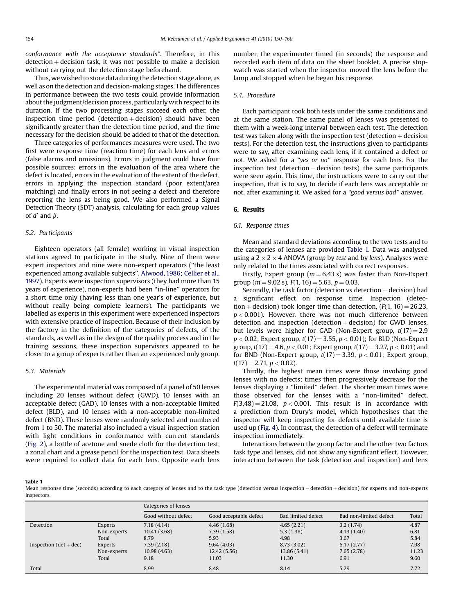conformance with the acceptance standards''. Therefore, in this  $detection + decision task$ , it was not possible to make a decision without carrying out the detection stage beforehand.

Thus, wewished to store data during the detection stage alone, as well as on the detection and decision-making stages. The differences in performance between the two tests could provide information about the judgment/decision process, particularly with respect to its duration. If the two processing stages succeed each other, the inspection time period  $(detection + decision)$  should have been significantly greater than the detection time period, and the time necessary for the decision should be added to that of the detection.

Three categories of performances measures were used. The two first were response time (reaction time) for each lens and errors (false alarms and omissions). Errors in judgment could have four possible sources: errors in the evaluation of the area where the defect is located, errors in the evaluation of the extent of the defect, errors in applying the inspection standard (poor extent/area matching) and finally errors in not seeing a defect and therefore reporting the lens as being good. We also performed a Signal Detection Theory (SDT) analysis, calculating for each group values of  $d'$  and  $\beta$ .

#### 5.2. Participants

Eighteen operators (all female) working in visual inspection stations agreed to participate in the study. Nine of them were expert inspectors and nine were non-expert operators (''the least experienced among available subjects'', [Alwood, 1986; Cellier et al.,](#page-10-0) [1997](#page-10-0)). Experts were inspection supervisors (they had more than 15 years of experience), non-experts had been ''in-line'' operators for a short time only (having less than one year's of experience, but without really being complete learners). The participants we labelled as experts in this experiment were experienced inspectors with extensive practice of inspection. Because of their inclusion by the factory in the definition of the categories of defects, of the standards, as well as in the design of the quality process and in the training sessions, these inspection supervisors appeared to be closer to a group of experts rather than an experienced only group.

#### 5.3. Materials

The experimental material was composed of a panel of 50 lenses including 20 lenses without defect (GWD), 10 lenses with an acceptable defect (GAD), 10 lenses with a non-acceptable limited defect (BLD), and 10 lenses with a non-acceptable non-limited defect (BND). These lenses were randomly selected and numbered from 1 to 50. The material also included a visual inspection station with light conditions in conformance with current standards ([Fig. 2](#page-1-0)), a bottle of acetone and suede cloth for the detection test, a zonal chart and a grease pencil for the inspection test. Data sheets were required to collect data for each lens. Opposite each lens number, the experimenter timed (in seconds) the response and recorded each item of data on the sheet booklet. A precise stopwatch was started when the inspector moved the lens before the lamp and stopped when he began his response.

# 5.4. Procedure

Each participant took both tests under the same conditions and at the same station. The same panel of lenses was presented to them with a week-long interval between each test. The detection test was taken along with the inspection test (detection  $+$  decision tests). For the detection test, the instructions given to participants were to say, after examining each lens, if it contained a defect or not. We asked for a "yes or no" response for each lens. For the inspection test (detection  $+$  decision tests), the same participants were seen again. This time, the instructions were to carry out the inspection, that is to say, to decide if each lens was acceptable or not, after examining it. We asked for a ''good versus bad'' answer.

# 6. Results

#### 6.1. Response times

Mean and standard deviations according to the two tests and to the categories of lenses are provided Table 1. Data was analysed using a 2  $\times$  2  $\times$  4 ANOVA (group by test and by lens). Analyses were only related to the times associated with correct responses.

Firstly, Expert group ( $m = 6.43$  s) was faster than Non-Expert group ( $m = 9.02$  s),  $F(1, 16) = 5.63$ ,  $p = 0.03$ .

Secondly, the task factor (detection vs detection  $+$  decision) had a significant effect on response time. Inspection (detection + decision) took longer time than detection,  $(F(1, 16) = 26.23,$  $p < 0.001$ ). However, there was not much difference between detection and inspection (detection  $+$  decision) for GWD lenses, but levels were higher for GAD (Non-Expert group,  $t(17) = 2.9$  $p < 0.02$ ; Expert group,  $t(17) = 3.55$ ,  $p < 0.01$ ); for BLD (Non-Expert group,  $t(17) = 4.6$ ,  $p < 0.01$ ; Expert group,  $t(17) = 3.27$ ,  $p < 0.01$ ) and for BND (Non-Expert group,  $t(17) = 3.39$ ,  $p < 0.01$ ; Expert group,  $t(17) = 2.71$ ,  $p < 0.02$ ).

Thirdly, the highest mean times were those involving good lenses with no defects; times then progressively decrease for the lenses displaying a ''limited'' defect. The shorter mean times were those observed for the lenses with a ''non-limited'' defect,  $F(3,48) = 21.08$ ,  $p < 0.001$ . This result is in accordance with a prediction from Drury's model, which hypothesises that the inspector will keep inspecting for defects until available time is used up [\(Fig. 4](#page-3-0)). In contrast, the detection of a defect will terminate inspection immediately.

Interactions between the group factor and the other two factors task type and lenses, did not show any significant effect. However, interaction between the task (detection and inspection) and lens

Table 1

Mean response time (seconds) according to each category of lenses and to the task type (detection versus inspection - detection + decision) for experts and non-experts inspectors.

|                          |             | Categories of lenses |                        |                    |                        |       |
|--------------------------|-------------|----------------------|------------------------|--------------------|------------------------|-------|
|                          |             | Good without defect  | Good acceptable defect | Bad limited defect | Bad non-limited defect | Total |
| Detection                | Experts     | 7.18(4.14)           | 4.46(1.68)             | 4.65(2.21)         | 3.2(1.74)              | 4.87  |
|                          | Non-experts | 10.41 (3.68)         | 7.39(1.58)             | 5.3(1.38)          | 4.13(1.40)             | 6.81  |
|                          | Total       | 8.79                 | 5.93                   | 4.98               | 3.67                   | 5.84  |
| Inspection $(det + dec)$ | Experts     | 7.39(2.18)           | 9.64(4.03)             | 8.73(3.02)         | 6.17(2.77)             | 7.98  |
|                          | Non-experts | 10.98 (4.63)         | 12.42(5.56)            | 13.86 (5.41)       | 7.65(2.78)             | 11.23 |
|                          | Total       | 9.18                 | 11.03                  | 11.30              | 6.91                   | 9.60  |
| Total                    |             | 8.99                 | 8.48                   | 8.14               | 5.29                   | 7.72  |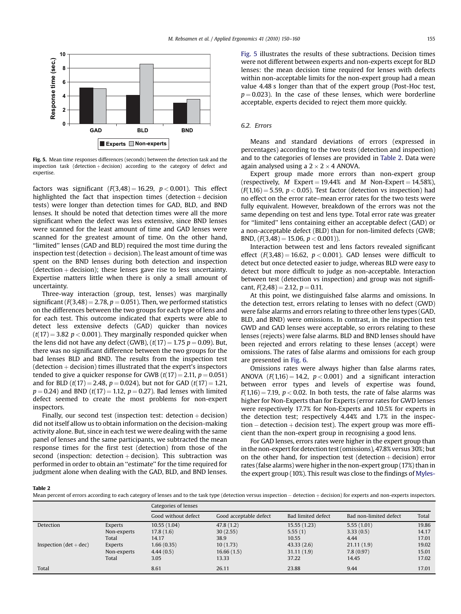

Fig. 5. Mean time responses differences (seconds) between the detection task and the inspection task (detection  $+$  decision) according to the category of defect and expertise.

factors was significant  $(F(3,48) = 16.29, p < 0.001)$ . This effect highlighted the fact that inspection times (detection  $+$  decision tests) were longer than detection times for GAD, BLD, and BND lenses. It should be noted that detection times were all the more significant when the defect was less extensive, since BND lenses were scanned for the least amount of time and GAD lenses were scanned for the greatest amount of time. On the other hand, ''limited'' lenses (GAD and BLD) required the most time during the inspection test (detection  $+$  decision). The least amount of time was spent on the BND lenses during both detection and inspection (detection  $+$  decision); these lenses gave rise to less uncertainty. Expertise matters little when there is only a small amount of uncertainty.

Three-way interaction (group, test, lenses) was marginally significant ( $F(3,48) = 2.78$ ,  $p = 0.051$ ). Then, we performed statistics on the differences between the two groups for each type of lens and for each test. This outcome indicated that experts were able to detect less extensive defects (GAD) quicker than novices  $(t(17) = 3.82 \ p < 0.001)$ . They marginally responded quicker when the lens did not have any defect (GWB),  $(t(17) = 1.75 p = 0.09)$ . But, there was no significant difference between the two groups for the bad lenses BLD and BND. The results from the inspection test  $(detection + decision)$  times illustrated that the expert's inspectors tended to give a quicker response for GWB  $(t(17) = 2.11, p = 0.051)$ and for BLD ( $t(17) = 2.48$ ,  $p = 0.024$ ), but not for GAD ( $t(17) = 1.21$ ,  $p = 0.24$ ) and BND (t(17) = 1.12,  $p = 0.27$ ). Bad lenses with limited defect seemed to create the most problems for non-expert inspectors.

Finally, our second test (inspection test: detection  $+$  decision) did not itself allow us to obtain information on the decision-making activity alone. But, since in each test we were dealing with the same panel of lenses and the same participants, we subtracted the mean response times for the first test (detection) from those of the second (inspection: detection  $+$  decision). This subtraction was performed in order to obtain an ''estimate'' for the time required for judgment alone when dealing with the GAD, BLD, and BND lenses. Fig. 5 illustrates the results of these subtractions. Decision times were not different between experts and non-experts except for BLD lenses: the mean decision time required for lenses with defects within non-acceptable limits for the non-expert group had a mean value 4.48 s longer than that of the expert group (Post-Hoc test,  $p = 0.023$ ). In the case of these lenses, which were borderline acceptable, experts decided to reject them more quickly.

# 6.2. Errors

Means and standard deviations of errors (expressed in percentages) according to the two tests (detection and inspection) and to the categories of lenses are provided in Table 2. Data were again analysed using a 2  $\times$  2  $\times$  4 ANOVA.

Expert group made more errors than non-expert group (respectively, M Expert =  $19.44\%$  and M Non-Expert =  $14.58\%$ ),  $(F(1,16) = 5.59, p < 0.05)$ . Test factor (detection vs inspection) had no effect on the error rate–mean error rates for the two tests were fully equivalent. However, breakdown of the errors was not the same depending on test and lens type. Total error rate was greater for ''limited'' lens containing either an acceptable defect (GAD) or a non-acceptable defect (BLD) than for non-limited defects (GWB; BND,  $(F(3,48) = 15.06, p < 0.001)$ ).

Interaction between test and lens factors revealed significant effect  $(F(3,48) = 16.62, p < 0.001)$ . GAD lenses were difficult to detect but once detected easier to judge, whereas BLD were easy to detect but more difficult to judge as non-acceptable. Interaction between test (detection vs inspection) and group was not significant,  $F(2,48) = 2.12$ ,  $p = 0.11$ .

At this point, we distinguished false alarms and omissions. In the detection test, errors relating to lenses with no defect (GWD) were false alarms and errors relating to three other lens types (GAD, BLD, and BND) were omissions. In contrast, in the inspection test GWD and GAD lenses were acceptable, so errors relating to these lenses (rejects) were false alarms. BLD and BND lenses should have been rejected and errors relating to these lenses (accept) were omissions. The rates of false alarms and omissions for each group are presented in [Fig. 6.](#page-6-0)

Omissions rates were always higher than false alarms rates, ANOVA  $(F(1,16) = 14.2, p < 0.001)$  and a significant interaction between error types and levels of expertise was found,  $F(1,16) = 7.19$ ,  $p < 0.02$ . In both tests, the rate of false alarms was higher for Non-Experts than for Experts (error rates for GWD lenses were respectively 17.7% for Non-Experts and 10.5% for experts in the detection test; respectively 4.44% and 1.7% in the inspec $tion - detection + decision test$ ). The expert group was more efficient than the non-expert group in recognising a good lens.

For GAD lenses, errors rates were higher in the expert group than in the non-expert for detection test (omissions), 47.8% versus 30%; but on the other hand, for inspection test (detection  $+$  decision) error rates (false alarms) were higher in the non-expert group (17%) than in the expert group (10%). This result was close to the findings of [Myles-](#page-10-0)

Table 2

Mean percent of errors according to each category of lenses and to the task type (detection versus inspection - detection + decision) for experts and non-experts inspectors.

|                          |             | Categories of lenses |                        |                    |                        |       |
|--------------------------|-------------|----------------------|------------------------|--------------------|------------------------|-------|
|                          |             | Good without defect  | Good acceptable defect | Bad limited defect | Bad non-limited defect | Total |
| Detection                | Experts     | 10.55(1.04)          | 47.8(1.2)              | 15.55(1.23)        | 5.55(1.01)             | 19.86 |
|                          | Non-experts | 17.8(1.6)            | 30(2.55)               | 5.55(1)            | 3.33(0.5)              | 14.17 |
|                          | Total       | 14.17                | 38.9                   | 10.55              | 4.44                   | 17.01 |
| Inspection $(det + dec)$ | Experts     | 1.66(0.35)           | 10(1.73)               | 43.33(2.6)         | 21.11(1.9)             | 19.02 |
|                          | Non-experts | 4.44(0.5)            | 16.66(1.5)             | 31.11(1.9)         | 7.8(0.97)              | 15.01 |
|                          | Total       | 3.05                 | 13.33                  | 37.22              | 14.45                  | 17.02 |
| Total                    |             | 8.61                 | 26.11                  | 23.88              | 9.44                   | 17.01 |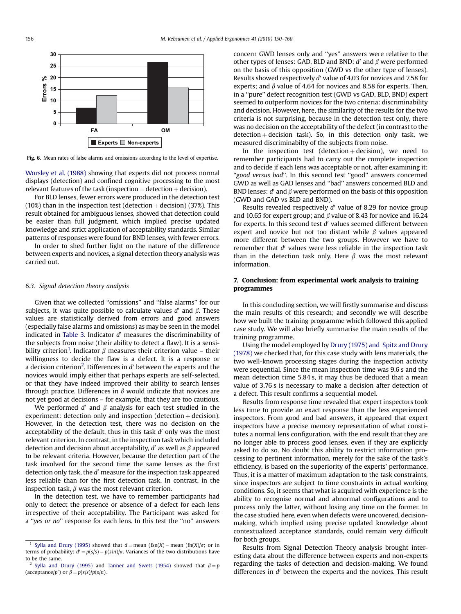<span id="page-6-0"></span>

Fig. 6. Mean rates of false alarms and omissions according to the level of expertise.

[Worsley et al. \(1988\)](#page-10-0) showing that experts did not process normal displays (detection) and confined cognitive processing to the most relevant features of the task (inspection  $=$  detection  $+$  decision).

For BLD lenses, fewer errors were produced in the detection test (10%) than in the inspection test (detection  $+$  decision) (37%). This result obtained for ambiguous lenses, showed that detection could be easier than full judgment, which implied precise updated knowledge and strict application of acceptability standards. Similar patterns of responses were found for BND lenses, with fewer errors.

In order to shed further light on the nature of the difference between experts and novices, a signal detection theory analysis was carried out.

#### 6.3. Signal detection theory analysis

Given that we collected ''omissions'' and ''false alarms'' for our subjects, it was quite possible to calculate values  $d'$  and  $\beta$ . These values are statistically derived from errors and good answers (especially false alarms and omissions) as may be seen in the model indicated in [Table 3.](#page-7-0) Indicator  $d'$  measures the discriminability of the subjects from noise (their ability to detect a flaw). It is a sensibility criterion<sup>1</sup>. Indicator  $\beta$  measures their criterion value – their willingness to decide the flaw is a defect. It is a response or a decision criterion<sup>2</sup>. Differences in  $d'$  between the experts and the novices would imply either that perhaps experts are self-selected, or that they have indeed improved their ability to search lenses through practice. Differences in  $\beta$  would indicate that novices are not yet good at decisions – for example, that they are too cautious.

We performed  $d'$  and  $\beta$  analysis for each test studied in the experiment: detection only and inspection (detection  $+$  decision). However, in the detection test, there was no decision on the acceptability of the default, thus in this task  $d'$  only was the most relevant criterion. In contrast, in the inspection task which included detection and decision about acceptability,  $d'$  as well as  $\beta$  appeared to be relevant criteria. However, because the detection part of the task involved for the second time the same lenses as the first detection only task, the  $d'$  measure for the inspection task appeared less reliable than for the first detection task. In contrast, in the inspection task,  $\beta$  was the most relevant criterion.

In the detection test, we have to remember participants had only to detect the presence or absence of a defect for each lens irrespective of their acceptability. The Participant was asked for a ''yes or no'' response for each lens. In this test the ''no'' answers concern GWD lenses only and ''yes'' answers were relative to the other types of lenses: GAD, BLD and BND:  $d'$  and  $\beta$  were performed on the basis of this opposition (GWD vs the other type of lenses). Results showed respectively  $d'$  value of 4.03 for novices and 7.58 for experts; and  $\beta$  value of 4.64 for novices and 8.58 for experts. Then, in a ''pure'' defect recognition test (GWD vs GAD, BLD, BND) expert seemed to outperform novices for the two criteria: discriminability and decision. However, here, the similarity of the results for the two criteria is not surprising, because in the detection test only, there was no decision on the acceptability of the defect (in contrast to the  $detection + decision task$ ). So, in this detection only task, we measured discriminabilty of the subjects from noise.

In the inspection test (detection  $+$  decision), we need to remember participants had to carry out the complete inspection and to decide if each lens was acceptable or not, after examining it: "good versus bad". In this second test "good" answers concerned GWD as well as GAD lenses and ''bad'' answers concerned BLD and BND lenses:  $d'$  and  $\beta$  were performed on the basis of this opposition (GWD and GAD vs BLD and BND).

Results revealed respectively  $d'$  value of 8.29 for novice group and 10.65 for expert group; and  $\beta$  value of 8.43 for novice and 16.24 for experts. In this second test  $d'$  values seemed different between expert and novice but not too distant while  $\beta$  values appeared more different between the two groups. However we have to remember that  $d'$  values were less reliable in the inspection task than in the detection task only. Here  $\beta$  was the most relevant information.

# 7. Conclusion: from experimental work analysis to training programmes

In this concluding section, we will firstly summarise and discuss the main results of this research; and secondly we will describe how we built the training programme which followed this applied case study. We will also briefly summarise the main results of the training programme.

Using the model employed by [Drury \(1975\) and Spitz and Drury](#page-10-0) [\(1978\)](#page-10-0) we checked that, for this case study with lens materials, the two well-known processing stages during the inspection activity were sequential. Since the mean inspection time was 9.6 s and the mean detection time 5.84 s, it may thus be deduced that a mean value of 3.76 s is necessary to make a decision after detection of a defect. This result confirms a sequential model.

Results from response time revealed that expert inspectors took less time to provide an exact response than the less experienced inspectors. From good and bad answers, it appeared that expert inspectors have a precise memory representation of what constitutes a normal lens configuration, with the end result that they are no longer able to process good lenses, even if they are explicitly asked to do so. No doubt this ability to restrict information processing to pertinent information, merely for the sake of the task's efficiency, is based on the superiority of the experts' performance. Thus, it is a matter of maximum adaptation to the task constraints, since inspectors are subject to time constraints in actual working conditions. So, it seems that what is acquired with experience is the ability to recognise normal and abnormal configurations and to process only the latter, without losing any time on the former. In the case studied here, even when defects were uncovered, decisionmaking, which implied using precise updated knowledge about contextualized acceptance standards, could remain very difficult for both groups.

Results from Signal Detection Theory analysis brought interesting data about the difference between experts and non-experts regarding the tasks of detection and decision-making. We found differences in  $d'$  between the experts and the novices. This result

[Sylla and Drury \(1995\)](#page-10-0) showed that  $d = \text{mean (fsn}(X) - \text{mean (fn}(X)/\sigma; \text{ or in}$ terms of probability:  $d' = p(s/s) - p(s/n)/\sigma$ . Variances of the two distributions have to be the same.

<sup>&</sup>lt;sup>2</sup> [Sylla and Drury \(1995\)](#page-10-0) and [Tanner and Swets \(1954\)](#page-10-0) showed that  $\beta = p$ (acceptance/p') or  $\beta = p(s/s)/p(s/n)$ .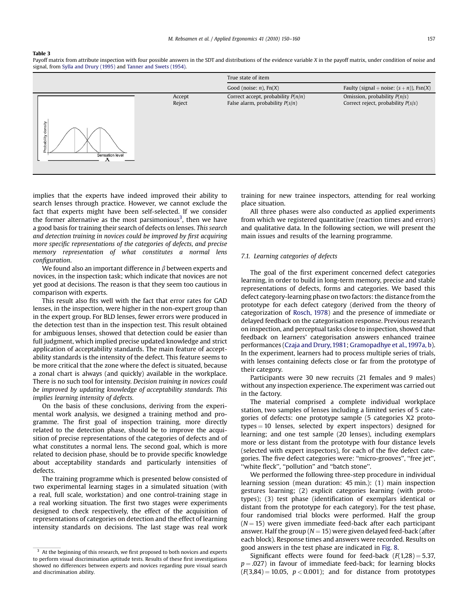#### <span id="page-7-0"></span>Table 3

Payoff matrix from attribute inspection with four possible answers in the SDT and distributions of the evidence variable X in the payoff matrix, under condition of noise and signal, from [Sylla and Drury \(1995\)](#page-10-0) and [Tanner and Swets \(1954\).](#page-10-0)

|                                        |                  | True state of item                                                        |                                                                        |  |
|----------------------------------------|------------------|---------------------------------------------------------------------------|------------------------------------------------------------------------|--|
|                                        |                  | Good (noise: $n$ ), $Fn(X)$                                               | Faulty (signal + noise: $(s + n)$ ), Fsn $(X)$                         |  |
| Probability density<br>Sensation level | Accept<br>Reject | Correct accept, probability $P(n n)$<br>False alarm, probability $P(s/n)$ | Omission, probability $P(n/s)$<br>Correct reject, probability $P(s/s)$ |  |

implies that the experts have indeed improved their ability to search lenses through practice. However, we cannot exclude the fact that experts might have been self-selected. If we consider the former alternative as the most parsimonious<sup>3</sup>, then we have a good basis for training their search of defects on lenses. This search and detection training in novices could be improved by first acquiring more specific representations of the categories of defects, and precise memory representation of what constitutes a normal lens configuration.

We found also an important difference in  $\beta$  between experts and novices, in the inspection task; which indicate that novices are not yet good at decisions. The reason is that they seem too cautious in comparison with experts.

This result also fits well with the fact that error rates for GAD lenses, in the inspection, were higher in the non-expert group than in the expert group. For BLD lenses, fewer errors were produced in the detection test than in the inspection test. This result obtained for ambiguous lenses, showed that detection could be easier than full judgment, which implied precise updated knowledge and strict application of acceptability standards. The main feature of acceptability standards is the intensity of the defect. This feature seems to be more critical that the zone where the defect is situated, because a zonal chart is always (and quickly) available in the workplace. There is no such tool for intensity. Decision training in novices could be improved by updating knowledge of acceptability standards. This implies learning intensity of defects.

On the basis of these conclusions, deriving from the experimental work analysis, we designed a training method and programme. The first goal of inspection training, more directly related to the detection phase, should be to improve the acquisition of precise representations of the categories of defects and of what constitutes a normal lens. The second goal, which is more related to decision phase, should be to provide specific knowledge about acceptability standards and particularly intensities of defects.

The training programme which is presented below consisted of two experimental learning stages in a simulated situation (with a real, full scale, workstation) and one control-training stage in a real working situation. The first two stages were experiments designed to check respectively, the effect of the acquisition of representations of categories on detection and the effect of learning intensity standards on decisions. The last stage was real work

training for new trainee inspectors, attending for real working place situation.

All three phases were also conducted as applied experiments from which we registered quantitative (reaction times and errors) and qualitative data. In the following section, we will present the main issues and results of the learning programme.

# 7.1. Learning categories of defects

The goal of the first experiment concerned defect categories learning, in order to build in long-term memory, precise and stable representations of defects, forms and categories. We based this defect category-learning phase on two factors: the distance from the prototype for each defect category (derived from the theory of categorization of [Rosch, 1978\)](#page-10-0) and the presence of immediate or delayed feedback on the categorisation response. Previous research on inspection, and perceptual tasks close to inspection, showed that feedback on learners' categorisation answers enhanced trainee performances ([Czaja and Drury, 1981;](#page-10-0) [Gramopadhye et al., 1997a, b\)](#page-10-0). In the experiment, learners had to process multiple series of trials, with lenses containing defects close or far from the prototype of their category.

Participants were 30 new recruits (21 females and 9 males) without any inspection experience. The experiment was carried out in the factory.

The material comprised a complete individual workplace station, two samples of lenses including a limited series of 5 categories of defects: one prototype sample (5 categories X2 proto $types = 10$  lenses, selected by expert inspectors) designed for learning; and one test sample (20 lenses), including exemplars more or less distant from the prototype with four distance levels (selected with expert inspectors), for each of the five defect categories. The five defect categories were: ''micro-grooves'', ''free jet'', ''white fleck'', ''pollution'' and ''batch stone''.

We performed the following three-step procedure in individual learning session (mean duration: 45 min.): (1) main inspection gestures learning; (2) explicit categories learning (with prototypes); (3) test phase (identification of exemplars identical or distant from the prototype for each category). For the test phase, four randomised trial blocks were performed. Half the group  $(N = 15)$  were given immediate feed-back after each participant answer. Half the group ( $N = 15$ ) were given delayed feed-back (after each block). Response times and answers were recorded. Results on good answers in the test phase are indicated in [Fig. 8.](#page-8-0)

Significant effects were found for feed-back  $(F(1,28) = 5.37,$  $p = .027$ ) in favour of immediate feed-back; for learning blocks  $(F(3,84) = 10.05, p < 0.001)$ ; and for distance from prototypes

 $\frac{3}{3}$  At the beginning of this research, we first proposed to both novices and experts to perform visual discrimination aptitude tests. Results of these first investigations showed no differences between experts and novices regarding pure visual search and discrimination ability.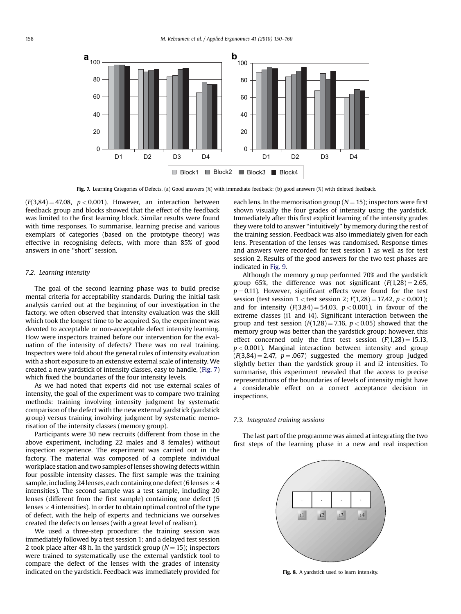<span id="page-8-0"></span>

Fig. 7. Learning Categories of Defects. (a) Good answers (%) with immediate feedback; (b) good answers (%) with deleted feedback.

 $(F(3,84) = 47.08, p < 0.001)$ . However, an interaction between feedback group and blocks showed that the effect of the feedback was limited to the first learning block. Similar results were found with time responses. To summarise, learning precise and various exemplars of categories (based on the prototype theory) was effective in recognising defects, with more than 85% of good answers in one ''short'' session.

## 7.2. Learning intensity

The goal of the second learning phase was to build precise mental criteria for acceptability standards. During the initial task analysis carried out at the beginning of our investigation in the factory, we often observed that intensity evaluation was the skill which took the longest time to be acquired. So, the experiment was devoted to acceptable or non-acceptable defect intensity learning. How were inspectors trained before our intervention for the evaluation of the intensity of defects? There was no real training. Inspectors were told about the general rules of intensity evaluation with a short exposure to an extensive external scale of intensity. We created a new yardstick of intensity classes, easy to handle, (Fig. 7) which fixed the boundaries of the four intensity levels.

As we had noted that experts did not use external scales of intensity, the goal of the experiment was to compare two training methods: training involving intensity judgment by systematic comparison of the defect with the new external yardstick (yardstick group) versus training involving judgment by systematic memorisation of the intensity classes (memory group).

Participants were 30 new recruits (different from those in the above experiment, including 22 males and 8 females) without inspection experience. The experiment was carried out in the factory. The material was composed of a complete individual workplace station and two samples of lenses showing defects within four possible intensity classes. The first sample was the training sample, including 24 lenses, each containing one defect (6 lenses  $\times$  4 intensities). The second sample was a test sample, including 20 lenses (different from the first sample) containing one defect (5 lenses  $\times$  4 intensities). In order to obtain optimal control of the type of defect, with the help of experts and technicians we ourselves created the defects on lenses (with a great level of realism).

We used a three-step procedure: the training session was immediately followed by a test session 1; and a delayed test session 2 took place after 48 h. In the yardstick group ( $N = 15$ ); inspectors were trained to systematically use the external yardstick tool to compare the defect of the lenses with the grades of intensity indicated on the yardstick. Feedback was immediately provided for each lens. In the memorisation group ( $N = 15$ ): inspectors were first shown visually the four grades of intensity using the yardstick. Immediately after this first explicit learning of the intensity grades they were told to answer ''intuitively'' by memory during the rest of the training session. Feedback was also immediately given for each lens. Presentation of the lenses was randomised. Response times and answers were recorded for test session 1 as well as for test session 2. Results of the good answers for the two test phases are indicated in [Fig. 9](#page-9-0).

Although the memory group performed 70% and the yardstick group 65%, the difference was not significant  $(F(1,28) = 2.65,$  $p = 0.11$ ). However, significant effects were found for the test session (test session  $1 <$  test session 2;  $F(1,28) = 17.42$ ,  $p < 0.001$ ); and for intensity  $(F(3,84) = 54.03, p < 0.001)$ , in favour of the extreme classes (i1 and i4). Significant interaction between the group and test session  $(F(1,28) = 7.16, p < 0.05)$  showed that the memory group was better than the yardstick group; however, this effect concerned only the first test session  $(F(1,28) = 15.13,$  $p < 0.001$ ). Marginal interaction between intensity and group  $(F(3,84) = 2.47, p = .067)$  suggested the memory group judged slightly better than the yardstick group i1 and i2 intensities. To summarise, this experiment revealed that the access to precise representations of the boundaries of levels of intensity might have a considerable effect on a correct acceptance decision in inspections.

#### 7.3. Integrated training sessions

The last part of the programme was aimed at integrating the two first steps of the learning phase in a new and real inspection



Fig. 8. A yardstick used to learn intensity.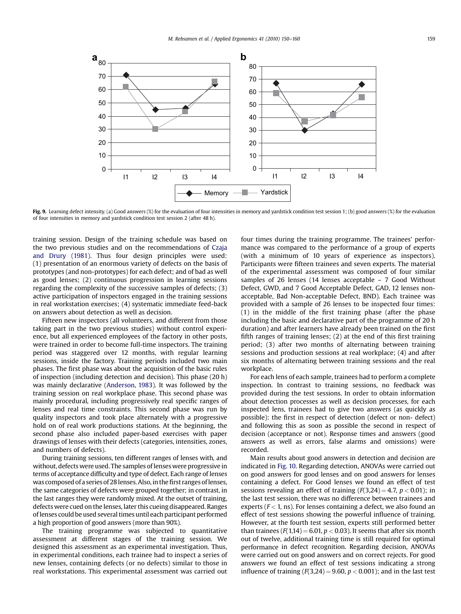<span id="page-9-0"></span>

Fig. 9. Learning defect intensity. (a) Good answers (%) for the evaluation of four intensities in memory and yardstick condition test session 1; (b) good answers (%) for the evaluation of four intensities in memory and yardstick condition test session 2 (after 48 h).

training session. Design of the training schedule was based on the two previous studies and on the recommendations of [Czaja](#page-10-0) [and Drury \(1981\).](#page-10-0) Thus four design principles were used: (1) presentation of an enormous variety of defects on the basis of prototypes (and non-prototypes) for each defect; and of bad as well as good lenses; (2) continuous progression in learning sessions regarding the complexity of the successive samples of defects; (3) active participation of inspectors engaged in the training sessions in real workstation exercises; (4) systematic immediate feed-back on answers about detection as well as decision.

Fifteen new inspectors (all volunteers, and different from those taking part in the two previous studies) without control experience, but all experienced employees of the factory in other posts, were trained in order to become full-time inspectors. The training period was staggered over 12 months, with regular learning sessions, inside the factory. Training periods included two main phases. The first phase was about the acquisition of the basic rules of inspection (including detection and decision). This phase (20 h) was mainly declarative ([Anderson, 1983](#page-10-0)). It was followed by the training session on real workplace phase. This second phase was mainly procedural, including progressively real specific ranges of lenses and real time constraints. This second phase was run by quality inspectors and took place alternately with a progressive hold on of real work productions stations. At the beginning, the second phase also included paper-based exercises with paper drawings of lenses with their defects (categories, intensities, zones, and numbers of defects).

During training sessions, ten different ranges of lenses with, and without, defects were used. The samples of lenses were progressive in terms of acceptance difficulty and type of defect. Each range of lenses was composed of a series of 28lenses. Also, in the first ranges oflenses, the same categories of defects were grouped together; in contrast, in the last ranges they were randomly mixed. At the outset of training, defects were cued on the lenses, later this cueing disappeared. Ranges of lenses could be used several times until each participant performed a high proportion of good answers (more than 90%).

The training programme was subjected to quantitative assessment at different stages of the training session. We designed this assessment as an experimental investigation. Thus, in experimental conditions, each trainee had to inspect a series of new lenses, containing defects (or no defects) similar to those in real workstations. This experimental assessment was carried out four times during the training programme. The trainees' performance was compared to the performance of a group of experts (with a minimum of 10 years of experience as inspectors). Participants were fifteen trainees and seven experts. The material of the experimental assessment was composed of four similar samples of 26 lenses (14 lenses acceptable – 7 Good Without Defect, GWD, and 7 Good Acceptable Defect, GAD, 12 lenses nonacceptable, Bad Non-acceptable Defect, BND). Each trainee was provided with a sample of 26 lenses to be inspected four times: (1) in the middle of the first training phase (after the phase including the basic and declarative part of the programme of 20 h duration) and after learners have already been trained on the first fifth ranges of training lenses; (2) at the end of this first training period; (3) after two months of alternating between training sessions and production sessions at real workplace; (4) and after six months of alternating between training sessions and the real workplace

For each lens of each sample, trainees had to perform a complete inspection. In contrast to training sessions, no feedback was provided during the test sessions. In order to obtain information about detection processes as well as decision processes, for each inspected lens, trainees had to give two answers (as quickly as possible): the first in respect of detection (defect or non- defect) and following this as soon as possible the second in respect of decision (acceptance or not). Response times and answers (good answers as well as errors, false alarms and omissions) were recorded.

Main results about good answers in detection and decision are indicated in [Fig. 10](#page-10-0). Regarding detection, ANOVAs were carried out on good answers for good lenses and on good answers for lenses containing a defect. For Good lenses we found an effect of test sessions revealing an effect of training  $(F(3,24) = 4.7, p < 0.01)$ ; in the last test session, there was no difference between trainees and experts ( $F < 1$ , ns). For lenses containing a defect, we also found an effect of test sessions showing the powerful influence of training. However, at the fourth test session, experts still performed better than trainees ( $F(1,14) = 6.01, p < 0.03$ ). It seems that after six month out of twelve, additional training time is still required for optimal performance in defect recognition. Regarding decision, ANOVAs were carried out on good answers and on correct rejects. For good answers we found an effect of test sessions indicating a strong influence of training  $(F(3,24) = 9.60, p < 0.001)$ ; and in the last test